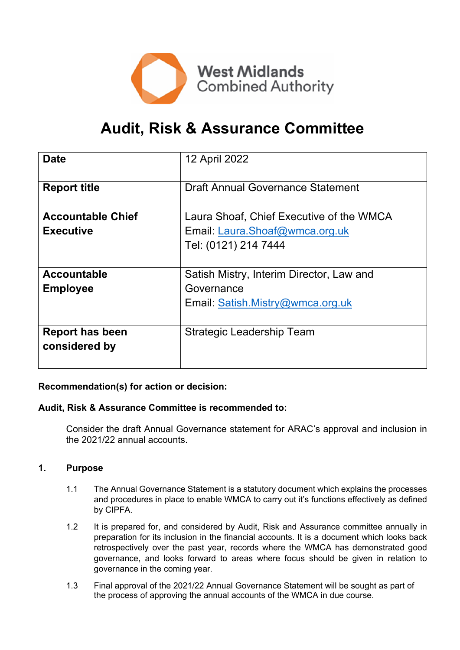

# **Audit, Risk & Assurance Committee**

| <b>Date</b>              | 12 April 2022                            |
|--------------------------|------------------------------------------|
| <b>Report title</b>      | Draft Annual Governance Statement        |
| <b>Accountable Chief</b> | Laura Shoaf, Chief Executive of the WMCA |
| <b>Executive</b>         | Email: Laura.Shoaf@wmca.org.uk           |
|                          | Tel: (0121) 214 7444                     |
| <b>Accountable</b>       | Satish Mistry, Interim Director, Law and |
| <b>Employee</b>          | Governance                               |
|                          | Email: Satish.Mistry@wmca.org.uk         |
| <b>Report has been</b>   | <b>Strategic Leadership Team</b>         |
| considered by            |                                          |

#### **Recommendation(s) for action or decision:**

#### **Audit, Risk & Assurance Committee is recommended to:**

Consider the draft Annual Governance statement for ARAC's approval and inclusion in the 2021/22 annual accounts.

#### **1. Purpose**

- 1.1 The Annual Governance Statement is a statutory document which explains the processes and procedures in place to enable WMCA to carry out it's functions effectively as defined by CIPFA.
- 1.2 It is prepared for, and considered by Audit, Risk and Assurance committee annually in preparation for its inclusion in the financial accounts. It is a document which looks back retrospectively over the past year, records where the WMCA has demonstrated good governance, and looks forward to areas where focus should be given in relation to governance in the coming year.
- 1.3 Final approval of the 2021/22 Annual Governance Statement will be sought as part of the process of approving the annual accounts of the WMCA in due course.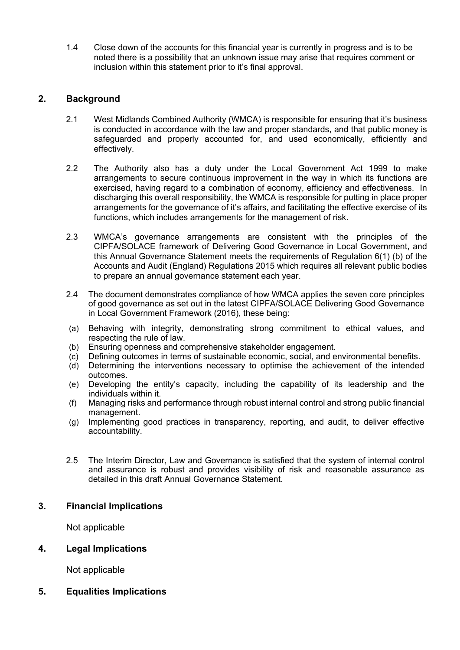1.4 Close down of the accounts for this financial year is currently in progress and is to be noted there is a possibility that an unknown issue may arise that requires comment or inclusion within this statement prior to it's final approval.

#### **2. Background**

- 2.1 West Midlands Combined Authority (WMCA) is responsible for ensuring that it's business is conducted in accordance with the law and proper standards, and that public money is safeguarded and properly accounted for, and used economically, efficiently and effectively.
- 2.2 The Authority also has a duty under the Local Government Act 1999 to make arrangements to secure continuous improvement in the way in which its functions are exercised, having regard to a combination of economy, efficiency and effectiveness. In discharging this overall responsibility, the WMCA is responsible for putting in place proper arrangements for the governance of it's affairs, and facilitating the effective exercise of its functions, which includes arrangements for the management of risk.
- 2.3 WMCA's governance arrangements are consistent with the principles of the CIPFA/SOLACE framework of Delivering Good Governance in Local Government, and this Annual Governance Statement meets the requirements of Regulation 6(1) (b) of the Accounts and Audit (England) Regulations 2015 which requires all relevant public bodies to prepare an annual governance statement each year.
- 2.4 The document demonstrates compliance of how WMCA applies the seven core principles of good governance as set out in the latest CIPFA/SOLACE Delivering Good Governance in Local Government Framework (2016), these being:
- (a) Behaving with integrity, demonstrating strong commitment to ethical values, and respecting the rule of law.
- (b) Ensuring openness and comprehensive stakeholder engagement.
- (c) Defining outcomes in terms of sustainable economic, social, and environmental benefits.
- (d) Determining the interventions necessary to optimise the achievement of the intended outcomes.
- (e) Developing the entity's capacity, including the capability of its leadership and the individuals within it.
- (f) Managing risks and performance through robust internal control and strong public financial management.
- (g) Implementing good practices in transparency, reporting, and audit, to deliver effective accountability.
- 2.5 The Interim Director, Law and Governance is satisfied that the system of internal control and assurance is robust and provides visibility of risk and reasonable assurance as detailed in this draft Annual Governance Statement.

#### **3. Financial Implications**

Not applicable

#### **4. Legal Implications**

Not applicable

**5. Equalities Implications**